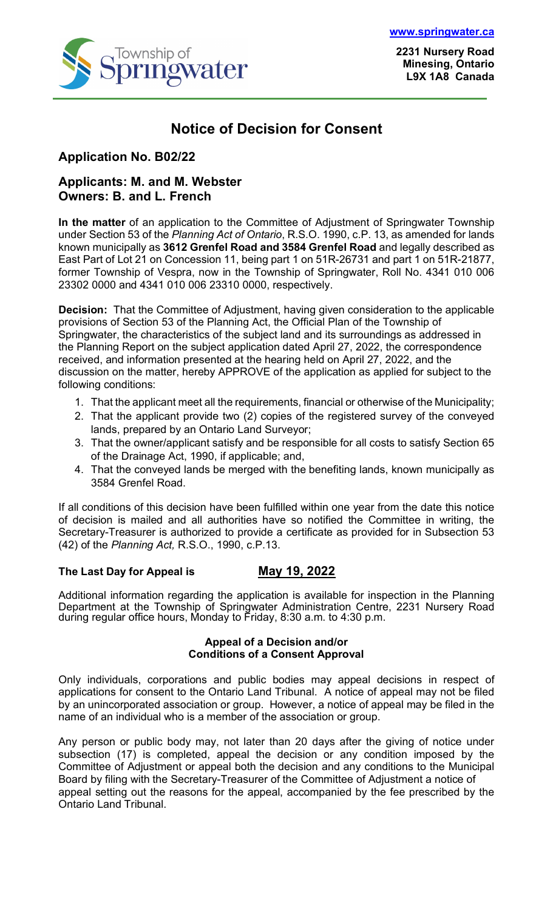

**2231 Nursery Road Minesing, Ontario L9X 1A8 Canada**

## **Notice of Decision for Consent**

### **Application No. B02/22**

### **Applicants: M. and M. Webster Owners: B. and L. French**

**In the matter** of an application to the Committee of Adjustment of Springwater Township under Section 53 of the *Planning Act of Ontario*, R.S.O. 1990, c.P. 13, as amended for lands known municipally as **3612 Grenfel Road and 3584 Grenfel Road** and legally described as East Part of Lot 21 on Concession 11, being part 1 on 51R-26731 and part 1 on 51R-21877, former Township of Vespra, now in the Township of Springwater, Roll No. 4341 010 006 23302 0000 and 4341 010 006 23310 0000, respectively.

**Decision:** That the Committee of Adjustment, having given consideration to the applicable provisions of Section 53 of the Planning Act, the Official Plan of the Township of Springwater, the characteristics of the subject land and its surroundings as addressed in the Planning Report on the subject application dated April 27, 2022, the correspondence received, and information presented at the hearing held on April 27, 2022, and the discussion on the matter, hereby APPROVE of the application as applied for subject to the following conditions:

- 1. That the applicant meet all the requirements, financial or otherwise of the Municipality;
- 2. That the applicant provide two (2) copies of the registered survey of the conveyed lands, prepared by an Ontario Land Surveyor;
- 3. That the owner/applicant satisfy and be responsible for all costs to satisfy Section 65 of the Drainage Act, 1990, if applicable; and,
- 4. That the conveyed lands be merged with the benefiting lands, known municipally as 3584 Grenfel Road.

If all conditions of this decision have been fulfilled within one year from the date this notice of decision is mailed and all authorities have so notified the Committee in writing, the Secretary-Treasurer is authorized to provide a certificate as provided for in Subsection 53 (42) of the *Planning Act,* R.S.O., 1990, c.P.13.

#### **The Last Day for Appeal is May 19, 2022**

Additional information regarding the application is available for inspection in the Planning Department at the Township of Springwater Administration Centre, 2231 Nursery Road during regular office hours, Monday to Friday, 8:30 a.m. to 4:30 p.m.

#### **Appeal of a Decision and/or Conditions of a Consent Approval**

Only individuals, corporations and public bodies may appeal decisions in respect of applications for consent to the Ontario Land Tribunal. A notice of appeal may not be filed by an unincorporated association or group. However, a notice of appeal may be filed in the name of an individual who is a member of the association or group.

Any person or public body may, not later than 20 days after the giving of notice under subsection (17) is completed, appeal the decision or any condition imposed by the Committee of Adjustment or appeal both the decision and any conditions to the Municipal Board by filing with the Secretary-Treasurer of the Committee of Adjustment a notice of appeal setting out the reasons for the appeal, accompanied by the fee prescribed by the Ontario Land Tribunal.